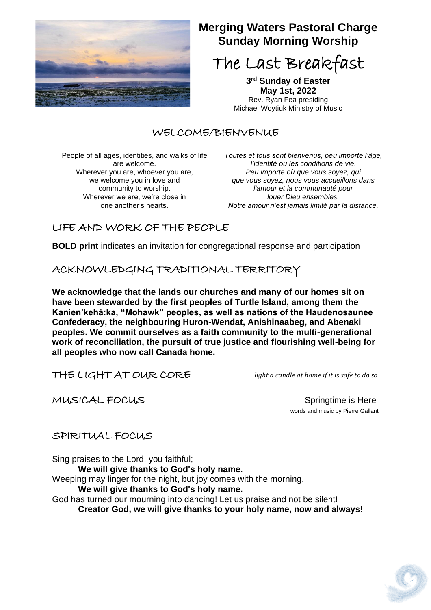

# **Merging Waters Pastoral Charge Sunday Morning Worship**

The Last Breakfast

**3 rd Sunday of Easter May 1st, 2022** Rev. Ryan Fea presiding Michael Woytiuk Ministry of Music

### WELCOME/BIENVENUE

People of all ages, identities, and walks of life are welcome. Wherever you are, whoever you are, we welcome you in love and community to worship. Wherever we are, we're close in one another's hearts.

*Toutes et tous sont bienvenus, peu importe l'âge, l'identité ou les conditions de vie. Peu importe où que vous soyez, qui que vous soyez, nous vous accueillons dans l'amour et la communauté pour louer Dieu ensembles. Notre amour n'est jamais limité par la distance.*

## LIFE AND WORK OF THE PEOPLE

**BOLD print** indicates an invitation for congregational response and participation

ACKNOWLEDGING TRADITIONAL TERRITORY

**We acknowledge that the lands our churches and many of our homes sit on have been stewarded by the first peoples of Turtle Island, among them the Kanien'kehá:ka, "Mohawk" peoples, as well as nations of the Haudenosaunee Confederacy, the neighbouring Huron-Wendat, Anishinaabeg, and Abenaki peoples. We commit ourselves as a faith community to the multi-generational work of reconciliation, the pursuit of true justice and flourishing well-being for all peoples who now call Canada home.**

THE LIGHT AT OUR CORE *light a candle at home if it is safe to do so*

MUSICAL FOCUS Springtime is Here

words and music by Pierre Gallant

## SPIRITUAL FOCUS

Sing praises to the Lord, you faithful; **We will give thanks to God's holy name.** Weeping may linger for the night, but joy comes with the morning. **We will give thanks to God's holy name.** God has turned our mourning into dancing! Let us praise and not be silent! **Creator God, we will give thanks to your holy name, now and always!**

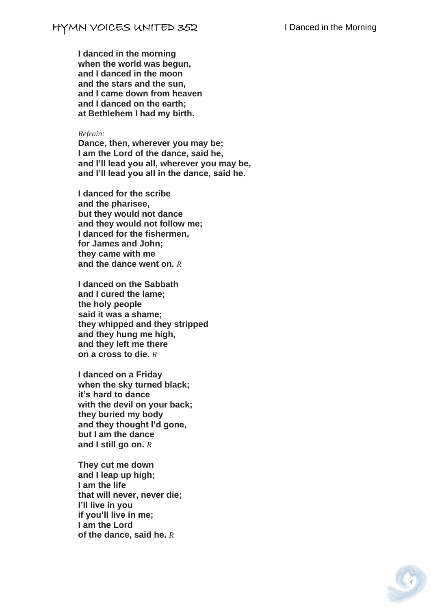**I danced in the morning when the world was begun, and I danced in the moon and the stars and the sun, and I came down from heaven and I danced on the earth; at Bethlehem I had my birth.**

*Refrain:*

**Dance, then, wherever you may be; I am the Lord of the dance, said he, and I'll lead you all, wherever you may be, and I'll lead you all in the dance, said he.**

**I danced for the scribe and the pharisee, but they would not dance and they would not follow me; I danced for the fishermen, for James and John; they came with me and the dance went on.** *R*

**I danced on the Sabbath and I cured the lame; the holy people said it was a shame; they whipped and they stripped and they hung me high, and they left me there on a cross to die.** *R*

**I danced on a Friday when the sky turned black; it's hard to dance with the devil on your back; they buried my body and they thought I'd gone, but I am the dance and I still go on.** *R*

**They cut me down and I leap up high; I am the life that will never, never die; I'll live in you if you'll live in me; I am the Lord of the dance, said he.** *R*

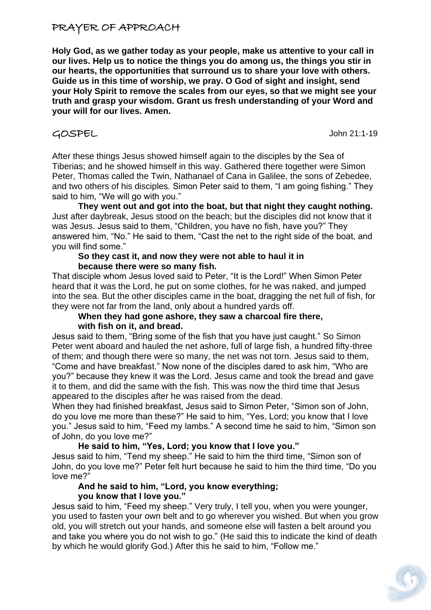#### PRAYER OF APPROACH

**Holy God, as we gather today as your people, make us attentive to your call in our lives. Help us to notice the things you do among us, the things you stir in our hearts, the opportunities that surround us to share your love with others. Guide us in this time of worship, we pray. O God of sight and insight, send your Holy Spirit to remove the scales from our eyes, so that we might see your truth and grasp your wisdom. Grant us fresh understanding of your Word and your will for our lives. Amen.**

GOSPEL John 21:1-19

After these things Jesus showed himself again to the disciples by the Sea of Tiberias; and he showed himself in this way. Gathered there together were Simon Peter, Thomas called the Twin, Nathanael of Cana in Galilee, the sons of Zebedee, and two others of his disciples. Simon Peter said to them, "I am going fishing." They said to him, "We will go with you."

**They went out and got into the boat, but that night they caught nothing.** Just after daybreak, Jesus stood on the beach; but the disciples did not know that it was Jesus. Jesus said to them, "Children, you have no fish, have you?" They answered him, "No." He said to them, "Cast the net to the right side of the boat, and you will find some."

#### **So they cast it, and now they were not able to haul it in because there were so many fish.**

That disciple whom Jesus loved said to Peter, "It is the Lord!" When Simon Peter heard that it was the Lord, he put on some clothes, for he was naked, and jumped into the sea. But the other disciples came in the boat, dragging the net full of fish, for they were not far from the land, only about a hundred yards off.

#### **When they had gone ashore, they saw a charcoal fire there, with fish on it, and bread.**

Jesus said to them, "Bring some of the fish that you have just caught." So Simon Peter went aboard and hauled the net ashore, full of large fish, a hundred fifty-three of them; and though there were so many, the net was not torn. Jesus said to them, "Come and have breakfast." Now none of the disciples dared to ask him, "Who are you?" because they knew it was the Lord. Jesus came and took the bread and gave it to them, and did the same with the fish. This was now the third time that Jesus appeared to the disciples after he was raised from the dead.

When they had finished breakfast, Jesus said to Simon Peter, "Simon son of John, do you love me more than these?" He said to him, "Yes, Lord; you know that I love you." Jesus said to him, "Feed my lambs." A second time he said to him, "Simon son of John, do you love me?"

#### **He said to him, "Yes, Lord; you know that I love you."**

Jesus said to him, "Tend my sheep." He said to him the third time, "Simon son of John, do you love me?" Peter felt hurt because he said to him the third time, "Do you love me?"

#### **And he said to him, "Lord, you know everything; you know that I love you."**

Jesus said to him, "Feed my sheep." Very truly, I tell you, when you were younger, you used to fasten your own belt and to go wherever you wished. But when you grow old, you will stretch out your hands, and someone else will fasten a belt around you and take you where you do not wish to go." (He said this to indicate the kind of death by which he would glorify God.) After this he said to him, "Follow me."

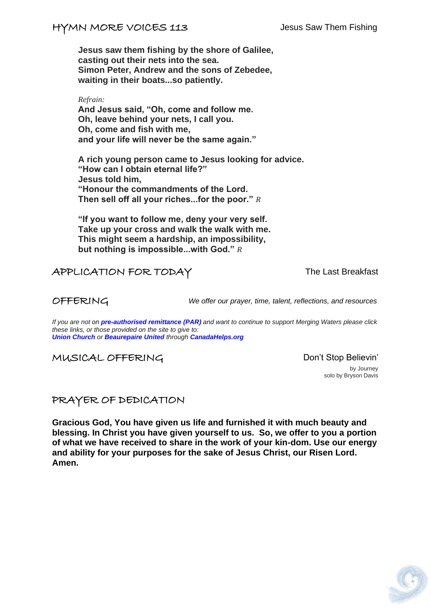**Jesus saw them fishing by the shore of Galilee, casting out their nets into the sea. Simon Peter, Andrew and the sons of Zebedee, waiting in their boats...so patiently.**

*Refrain:*

**And Jesus said, "Oh, come and follow me. Oh, leave behind your nets, I call you. Oh, come and fish with me, and your life will never be the same again."**

**A rich young person came to Jesus looking for advice. "How can I obtain eternal life?" Jesus told him, "Honour the commandments of the Lord. Then sell off all your riches...for the poor."** *R*

**"If you want to follow me, deny your very self. Take up your cross and walk the walk with me. This might seem a hardship, an impossibility, but nothing is impossible...with God."** *R*

# APPLICATION FOR TODAY THE Last Breakfast

OFFERING *We offer our prayer, time, talent, reflections, and resources*

*If you are not on pre-authorised [remittance \(PAR\)](http://mergingwaters.ca/mt-content/uploads/2020/03/form_par-authorization.pdf) and want to continue to support Merging Waters please click these links, or those provided on the site to give to: [Union Church](https://www.canadahelps.org/en/charities/union-church-ste-anne-de-bellevue/) or [Beaurepaire United](https://www.canadahelps.org/en/charities/beaurepaire-united-church/) through [CanadaHelps.org](http://www.canadahelps.org/)*

MUSICAL OFFERING DON't Stop Believin'

 by Journey solo by Bryson Davis

PRAYER OF DEDICATION

**Gracious God, You have given us life and furnished it with much beauty and blessing. In Christ you have given yourself to us. So, we offer to you a portion of what we have received to share in the work of your kin-dom. Use our energy and ability for your purposes for the sake of Jesus Christ, our Risen Lord. Amen.**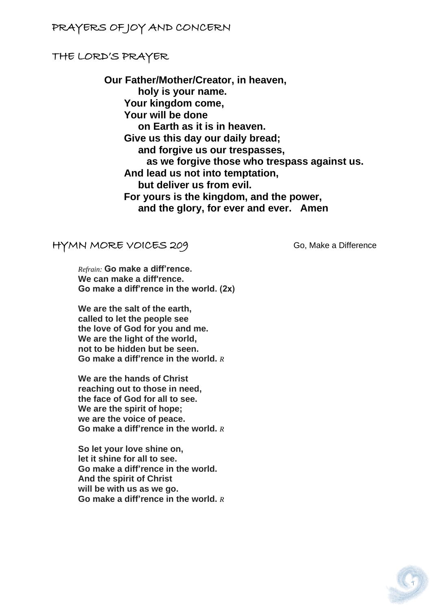## PRAYERS OF JOY AND CONCERN

## THE LORD'S PRAYER

**Our Father/Mother/Creator, in heaven, holy is your name. Your kingdom come, Your will be done on Earth as it is in heaven. Give us this day our daily bread; and forgive us our trespasses, as we forgive those who trespass against us. And lead us not into temptation, but deliver us from evil. For yours is the kingdom, and the power, and the glory, for ever and ever. Amen**

HYMN MORE VOICES 209 Go, Make a Difference

*Refrain:* **Go make a diff'rence. We can make a diff'rence. Go make a diff'rence in the world. (2x)**

**We are the salt of the earth, called to let the people see the love of God for you and me. We are the light of the world, not to be hidden but be seen. Go make a diff'rence in the world.** *R*

**We are the hands of Christ reaching out to those in need, the face of God for all to see. We are the spirit of hope; we are the voice of peace. Go make a diff'rence in the world.** *R*

**So let your love shine on, let it shine for all to see. Go make a diff'rence in the world. And the spirit of Christ will be with us as we go. Go make a diff'rence in the world.** *R*

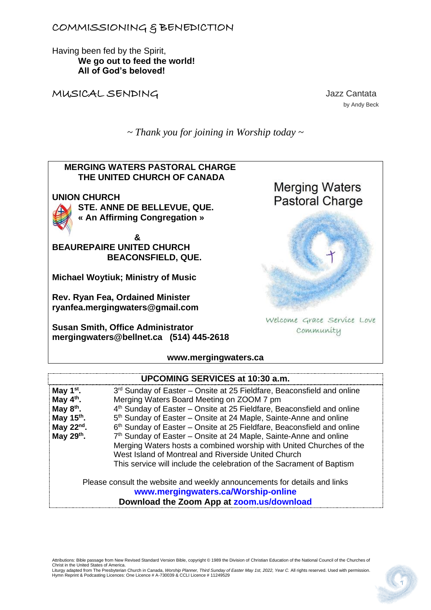Having been fed by the Spirit, **We go out to feed the world! All of God's beloved!**

MUSICAL SENDINGJazz Cantata

by Andy Beck

*~ Thank you for joining in Worship today ~*

### **MERGING WATERS PASTORAL CHARGE THE UNITED CHURCH OF CANADA Merging Waters UNION CHURCH Pastoral Charge STE. ANNE DE BELLEVUE, QUE. « An Affirming Congregation » & BEAUREPAIRE UNITED CHURCH BEACONSFIELD, QUE. Michael Woytiuk; Ministry of Music Rev. Ryan Fea, Ordained Minister [ryanfea.mergingwaters@gmail.com](mailto:ryanfea.mergingwaters@gmail.com)**  Welcome Grace Service Love **Susan Smith, Office Administrator** community **[mergingwaters@bellnet.ca](mailto:mergingwaters@bellnet.ca) (514) 445-2618**

#### **[www.mergingwaters.ca](http://www.mergingwaters.ca/)**

| <b>UPCOMING SERVICES at 10:30 a.m.</b> |                                                                                                                            |
|----------------------------------------|----------------------------------------------------------------------------------------------------------------------------|
| May $1st$ .                            | 3rd Sunday of Easter – Onsite at 25 Fieldfare, Beaconsfield and online                                                     |
| May $4th$ .                            | Merging Waters Board Meeting on ZOOM 7 pm                                                                                  |
| May $8th$ .                            | 4 <sup>th</sup> Sunday of Easter – Onsite at 25 Fieldfare, Beaconsfield and online                                         |
| May 15 <sup>th</sup> .                 | 5 <sup>th</sup> Sunday of Easter – Onsite at 24 Maple, Sainte-Anne and online                                              |
| May $22^{nd}$ .                        | 6 <sup>th</sup> Sunday of Easter – Onsite at 25 Fieldfare, Beaconsfield and online                                         |
| May 29 <sup>th</sup> .                 | 7 <sup>th</sup> Sunday of Easter – Onsite at 24 Maple, Sainte-Anne and online                                              |
|                                        | Merging Waters hosts a combined worship with United Churches of the<br>West Island of Montreal and Riverside United Church |
|                                        | This service will include the celebration of the Sacrament of Baptism                                                      |
|                                        | Please consult the website and weekly announcements for details and links                                                  |
|                                        | www.mergingwaters.ca/Worship-online                                                                                        |
|                                        | Download the Zoom App at zoom.us/download                                                                                  |

Attributions: Bible passage from New Revised Standard Version Bible, copyright © 1989 the Division of Christian Education of the National Council of the Churches of Christ in the United States of America.

Liturgy adapted from The Presbyterian Church in Canada, *Worship Planner, Third Sunday of Easter May 1st, 2022, Year C.* All rights reserved. Used with permission.<br>Hymn Reprint & Podcasting Licences: One Licence # A-730039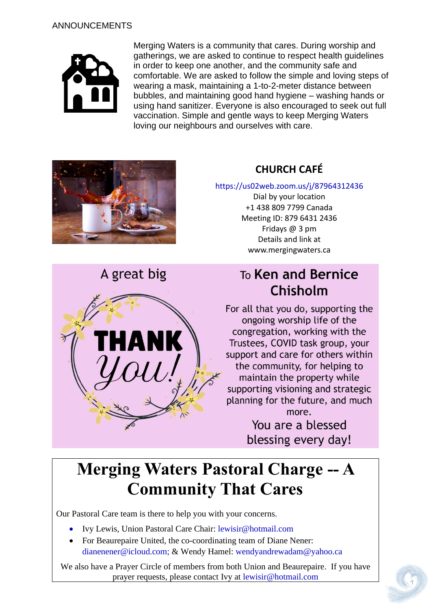

Merging Waters is a community that cares. During worship and gatherings, we are asked to continue to respect health guidelines in order to keep one another, and the community safe and comfortable. We are asked to follow the simple and loving steps of wearing a mask, maintaining a 1-to-2-meter distance between bubbles, and maintaining good hand hygiene – washing hands or using hand sanitizer. Everyone is also encouraged to seek out full vaccination. Simple and gentle ways to keep Merging Waters loving our neighbours and ourselves with care.



# **CHURCH CAFÉ**

#### <https://us02web.zoom.us/j/87964312436>

Dial by your location +1 438 809 7799 Canada Meeting ID: 879 6431 2436 Fridays @ 3 pm Details and link at www.mergingwaters.ca

A great big



# To Ken and Bernice Chisholm

For all that you do, supporting the ongoing worship life of the congregation, working with the Trustees, COVID task group, your support and care for others within the community, for helping to maintain the property while supporting visioning and strategic planning for the future, and much more

> You are a blessed blessing every day!

# **Merging Waters Pastoral Charge -- A Community That Cares**

Our Pastoral Care team is there to help you with your concerns.

- Ivy Lewis, Union Pastoral Care Chair: [lewisir@hotmail.com](mailto:lewisir@hotmail.com)
- For Beaurepaire United, the co-coordinating team of Diane Nener: [dianenener@icloud.com;](mailto:dianenener@icloud.com) & Wendy Hamel: [wendyandrewadam@yahoo.ca](mailto:wendyandrewadam@yahoo.ca)

We also have a Prayer Circle of members from both Union and Beaurepaire. If you have prayer requests, please contact Ivy at [lewisir@hotmail.com](mailto:lewisir@hotmail.com)